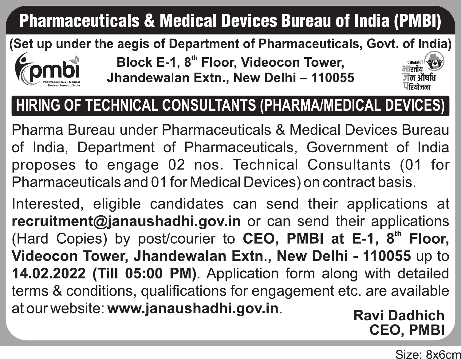#### **Pharmaceuticals & Medical Devices Bureau of India (PMBI)**

(Set up under the aegis of Department of Pharmaceuticals, Govt, of India)



Block E-1, 8<sup>th</sup> Floor, Videocon Tower. Jhandewalan Extn., New Delhi - 110055



#### HIRING OF TECHNICAL CONSULTANTS (PHARMA/MEDICAL DEVICES)

Pharma Bureau under Pharmaceuticals & Medical Devices Bureau of India. Department of Pharmaceuticals. Government of India proposes to engage 02 nos. Technical Consultants (01 for Pharmaceuticals and 01 for Medical Devices) on contract basis.

Interested, eligible candidates can send their applications at recruitment@ianaushadhi.gov.in or can send their applications (Hard Copies) by post/courier to CEO. PMBI at E-1. 8<sup>th</sup> Floor. Videocon Tower, Jhandewalan Extn., New Delhi - 110055 up to 14.02.2022 (Till 05:00 PM). Application form along with detailed terms & conditions, qualifications for engagement etc. are available at our website: www.ianaushadhi.gov.in.

**Ravi Dadhich CEO. PMBI** 

Size: 8x6cm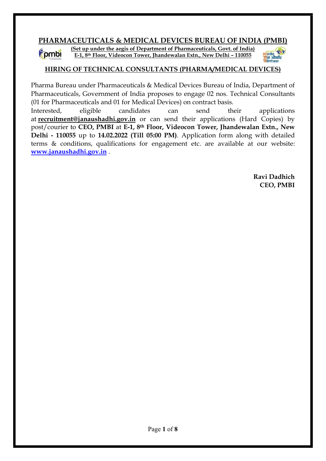# PHARMACEUTICALS & MEDICAL DEVICES BUREAU OF INDIA (PMBI)

(Set up under the aegis of Department of Pharmaceuticals, Govt. of India) pmbi E-1, 8th Floor, Videocon Tower, Jhandewalan Extn., New Delhi – 110055

# HIRING OF TECHNICAL CONSULTANTS (PHARMA/MEDICAL DEVICES)

Pharma Bureau under Pharmaceuticals & Medical Devices Bureau of India, Department of Pharmaceuticals, Government of India proposes to engage 02 nos. Technical Consultants (01 for Pharmaceuticals and 01 for Medical Devices) on contract basis.

Interested, eligible candidates can send their applications at recruitment@janaushadhi.gov.in or can send their applications (Hard Copies) by post/courier to CEO, PMBI at E-1, 8th Floor, Videocon Tower, Jhandewalan Extn., New Delhi - 110055 up to 14.02.2022 (Till 05:00 PM). Application form along with detailed terms & conditions, qualifications for engagement etc. are available at our website: www.janaushadhi.gov.in .

> Ravi Dadhich CEO, PMBI

गारताय<br>गन औषधि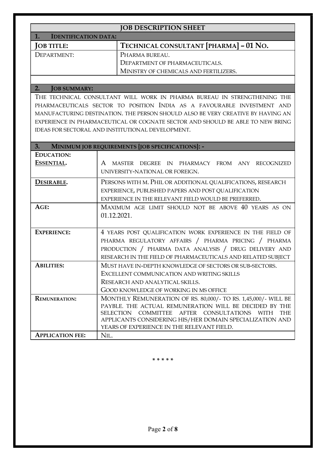| <b>JOB DESCRIPTION SHEET</b>      |                                                                                                             |  |  |  |  |  |  |
|-----------------------------------|-------------------------------------------------------------------------------------------------------------|--|--|--|--|--|--|
| 1.<br><b>IDENTIFICATION DATA:</b> |                                                                                                             |  |  |  |  |  |  |
| <b>JOB TITLE:</b>                 | TECHNICAL CONSULTANT [PHARMA] - 01 NO.                                                                      |  |  |  |  |  |  |
| <b>DEPARTMENT:</b>                | PHARMA BUREAU.                                                                                              |  |  |  |  |  |  |
|                                   | DEPARTMENT OF PHARMACEUTICALS.                                                                              |  |  |  |  |  |  |
|                                   | MINISTRY OF CHEMICALS AND FERTILIZERS.                                                                      |  |  |  |  |  |  |
|                                   |                                                                                                             |  |  |  |  |  |  |
| 2.<br><b>JOB SUMMARY:</b>         |                                                                                                             |  |  |  |  |  |  |
|                                   | THE TECHNICAL CONSULTANT WILL WORK IN PHARMA BUREAU IN STRENGTHENING THE                                    |  |  |  |  |  |  |
|                                   | PHARMACEUTICALS SECTOR TO POSITION INDIA AS A FAVOURABLE INVESTMENT AND                                     |  |  |  |  |  |  |
|                                   | MANUFACTURING DESTINATION. THE PERSON SHOULD ALSO BE VERY CREATIVE BY HAVING AN                             |  |  |  |  |  |  |
|                                   | EXPERIENCE IN PHARMACEUTICAL OR COGNATE SECTOR AND SHOULD BE ABLE TO NEW BRING                              |  |  |  |  |  |  |
|                                   | IDEAS FOR SECTORAL AND INSTITUTIONAL DEVELOPMENT.                                                           |  |  |  |  |  |  |
|                                   |                                                                                                             |  |  |  |  |  |  |
| 3.                                | MINIMUM JOB REQUIREMENTS {JOB SPECIFICATIONS}: -                                                            |  |  |  |  |  |  |
| <b>EDUCATION:</b>                 |                                                                                                             |  |  |  |  |  |  |
| ESSENTIAL.                        | A MASTER DEGREE IN PHARMACY FROM ANY RECOGNIZED                                                             |  |  |  |  |  |  |
|                                   | UNIVERSITY-NATIONAL OR FOREIGN.                                                                             |  |  |  |  |  |  |
| DESIRABLE.                        | PERSONS WITH M. PHIL OR ADDITIONAL QUALIFICATIONS, RESEARCH                                                 |  |  |  |  |  |  |
|                                   | EXPERIENCE, PUBLISHED PAPERS AND POST QUALIFICATION                                                         |  |  |  |  |  |  |
|                                   | EXPERIENCE IN THE RELEVANT FIELD WOULD BE PREFERRED.                                                        |  |  |  |  |  |  |
| AGE:                              | MAXIMUM AGE LIMIT SHOULD NOT BE ABOVE 40 YEARS AS ON                                                        |  |  |  |  |  |  |
|                                   | 01.12.2021.                                                                                                 |  |  |  |  |  |  |
|                                   |                                                                                                             |  |  |  |  |  |  |
| <b>EXPERIENCE:</b>                | 4 YEARS POST QUALIFICATION WORK EXPERIENCE IN THE FIELD OF                                                  |  |  |  |  |  |  |
|                                   | PHARMA REGULATORY AFFAIRS / PHARMA PRICING / PHARMA                                                         |  |  |  |  |  |  |
|                                   | PRODUCTION / PHARMA DATA ANALYSIS / DRUG DELIVERY AND                                                       |  |  |  |  |  |  |
|                                   | RESEARCH IN THE FIELD OF PHARMACEUTICALS AND RELATED SUBJECT                                                |  |  |  |  |  |  |
| <b>ABILITIES:</b>                 | MUST HAVE IN-DEPTH KNOWLEDGE OF SECTORS OR SUB-SECTORS.                                                     |  |  |  |  |  |  |
|                                   | EXCELLENT COMMUNICATION AND WRITING SKILLS                                                                  |  |  |  |  |  |  |
|                                   | RESEARCH AND ANALYTICAL SKILLS.                                                                             |  |  |  |  |  |  |
|                                   | <b>GOOD KNOWLEDGE OF WORKING IN MS OFFICE</b>                                                               |  |  |  |  |  |  |
| <b>REMUNERATION:</b>              | MONTHLY REMUNERATION OF RS. 80,000/- TO RS. 1,45,000/- WILL BE                                              |  |  |  |  |  |  |
|                                   | PAYBLE. THE ACTUAL REMUNERATION WILL BE DECIDED BY THE<br>THE.                                              |  |  |  |  |  |  |
|                                   | SELECTION COMMITTEE<br>AFTER CONSULTATIONS WITH<br>APPLICANTS CONSIDERING HIS/HER DOMAIN SPECIALIZATION AND |  |  |  |  |  |  |
|                                   | YEARS OF EXPERIENCE IN THE RELEVANT FIELD.                                                                  |  |  |  |  |  |  |
| <b>APPLICATION FEE:</b>           | NIL.                                                                                                        |  |  |  |  |  |  |

\* \* \* \* \*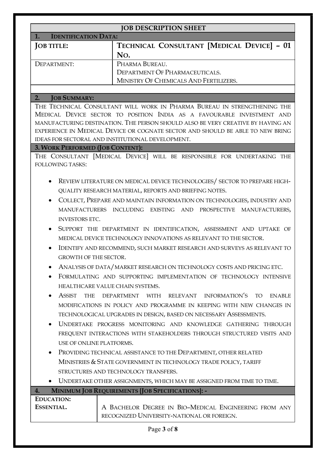| 1.<br><b>IDENTIFICATION DATA:</b><br>TECHNICAL CONSULTANT [MEDICAL DEVICE] - 01<br><b>JOB TITLE:</b><br>No.<br>PHARMA BUREAU.<br>DEPARTMENT:<br>DEPARTMENT OF PHARMACEUTICALS.<br>MINISTRY OF CHEMICALS AND FERTILIZERS.<br>2.<br><b>JOB SUMMARY:</b><br>THE TECHNICAL CONSULTANT WILL WORK IN PHARMA BUREAU IN STRENGTHENING THE<br>MEDICAL DEVICE SECTOR TO POSITION INDIA AS A FAVOURABLE INVESTMENT AND<br>MANUFACTURING DESTINATION. THE PERSON SHOULD ALSO BE VERY CREATIVE BY HAVING AN<br>EXPERIENCE IN MEDICAL DEVICE OR COGNATE SECTOR AND SHOULD BE ABLE TO NEW BRING<br>IDEAS FOR SECTORAL AND INSTITUTIONAL DEVELOPMENT.<br>3. WORK PERFORMED (JOB CONTENT):<br>THE CONSULTANT [MEDICAL DEVICE] WILL BE RESPONSIBLE FOR UNDERTAKING THE<br><b>FOLLOWING TASKS:</b><br>REVIEW LITERATURE ON MEDICAL DEVICE TECHNOLOGIES / SECTOR TO PREPARE HIGH-<br>QUALITY RESEARCH MATERIAL, REPORTS AND BRIEFING NOTES.<br>COLLECT, PREPARE AND MAINTAIN INFORMATION ON TECHNOLOGIES, INDUSTRY AND<br>$\bullet$<br>MANUFACTURERS INCLUDING EXISTING AND PROSPECTIVE MANUFACTURERS,<br><b>INVESTORS ETC.</b><br>SUPPORT THE DEPARTMENT IN IDENTIFICATION, ASSESSMENT AND UPTAKE OF<br>MEDICAL DEVICE TECHNOLOGY INNOVATIONS AS RELEVANT TO THE SECTOR.<br>IDENTIFY AND RECOMMEND, SUCH MARKET RESEARCH AND SURVEYS AS RELEVANT TO<br>GROWTH OF THE SECTOR.<br>ANALYSIS OF DATA/MARKET RESEARCH ON TECHNOLOGY COSTS AND PRICING ETC.<br>FORMULATING AND SUPPORTING IMPLEMENTATION OF TECHNOLOGY INTENSIVE<br>HEALTHCARE VALUE CHAIN SYSTEMS.<br><b>ASSIST</b><br>WITH RELEVANT INFORMATION'S<br><b>TO</b><br>THE<br>DEPARTMENT<br><b>ENABLE</b><br>MODIFICATIONS IN POLICY AND PROGRAMME IN KEEPING WITH NEW CHANGES IN<br>TECHNOLOGICAL UPGRADES IN DESIGN, BASED ON NECESSARY ASSESSMENTS.<br>UNDERTAKE PROGRESS MONITORING AND KNOWLEDGE GATHERING THROUGH<br>FREQUENT INTERACTIONS WITH STAKEHOLDERS THROUGH STRUCTURED VISITS AND<br>USE OF ONLINE PLATFORMS.<br>PROVIDING TECHNICAL ASSISTANCE TO THE DEPARTMENT, OTHER RELATED<br>$\bullet$<br>MINISTRIES & STATE GOVERNMENT IN TECHNOLOGY TRADE POLICY, TARIFF<br>STRUCTURES AND TECHNOLOGY TRANSFERS.<br>UNDERTAKE OTHER ASSIGNMENTS, WHICH MAY BE ASSIGNED FROM TIME TO TIME.<br>$\bullet$<br>MINIMUM JOB REQUIREMENTS {JOB SPECIFICATIONS}: -<br>4.<br><b>EDUCATION:</b><br>ESSENTIAL.<br>A BACHELOR DEGREE IN BIO-MEDICAL ENGINEERING FROM ANY<br>RECOGNIZED UNIVERSITY-NATIONAL OR FOREIGN.<br>Page 3 of 8 | <b>JOB DESCRIPTION SHEET</b> |  |  |  |  |  |  |
|-----------------------------------------------------------------------------------------------------------------------------------------------------------------------------------------------------------------------------------------------------------------------------------------------------------------------------------------------------------------------------------------------------------------------------------------------------------------------------------------------------------------------------------------------------------------------------------------------------------------------------------------------------------------------------------------------------------------------------------------------------------------------------------------------------------------------------------------------------------------------------------------------------------------------------------------------------------------------------------------------------------------------------------------------------------------------------------------------------------------------------------------------------------------------------------------------------------------------------------------------------------------------------------------------------------------------------------------------------------------------------------------------------------------------------------------------------------------------------------------------------------------------------------------------------------------------------------------------------------------------------------------------------------------------------------------------------------------------------------------------------------------------------------------------------------------------------------------------------------------------------------------------------------------------------------------------------------------------------------------------------------------------------------------------------------------------------------------------------------------------------------------------------------------------------------------------------------------------------------------------------------------------------------------------------------------------------------------------------------------------------------------------------------------------------------------------------------------------|------------------------------|--|--|--|--|--|--|
|                                                                                                                                                                                                                                                                                                                                                                                                                                                                                                                                                                                                                                                                                                                                                                                                                                                                                                                                                                                                                                                                                                                                                                                                                                                                                                                                                                                                                                                                                                                                                                                                                                                                                                                                                                                                                                                                                                                                                                                                                                                                                                                                                                                                                                                                                                                                                                                                                                                                       |                              |  |  |  |  |  |  |
|                                                                                                                                                                                                                                                                                                                                                                                                                                                                                                                                                                                                                                                                                                                                                                                                                                                                                                                                                                                                                                                                                                                                                                                                                                                                                                                                                                                                                                                                                                                                                                                                                                                                                                                                                                                                                                                                                                                                                                                                                                                                                                                                                                                                                                                                                                                                                                                                                                                                       |                              |  |  |  |  |  |  |
|                                                                                                                                                                                                                                                                                                                                                                                                                                                                                                                                                                                                                                                                                                                                                                                                                                                                                                                                                                                                                                                                                                                                                                                                                                                                                                                                                                                                                                                                                                                                                                                                                                                                                                                                                                                                                                                                                                                                                                                                                                                                                                                                                                                                                                                                                                                                                                                                                                                                       |                              |  |  |  |  |  |  |
|                                                                                                                                                                                                                                                                                                                                                                                                                                                                                                                                                                                                                                                                                                                                                                                                                                                                                                                                                                                                                                                                                                                                                                                                                                                                                                                                                                                                                                                                                                                                                                                                                                                                                                                                                                                                                                                                                                                                                                                                                                                                                                                                                                                                                                                                                                                                                                                                                                                                       |                              |  |  |  |  |  |  |
|                                                                                                                                                                                                                                                                                                                                                                                                                                                                                                                                                                                                                                                                                                                                                                                                                                                                                                                                                                                                                                                                                                                                                                                                                                                                                                                                                                                                                                                                                                                                                                                                                                                                                                                                                                                                                                                                                                                                                                                                                                                                                                                                                                                                                                                                                                                                                                                                                                                                       |                              |  |  |  |  |  |  |
|                                                                                                                                                                                                                                                                                                                                                                                                                                                                                                                                                                                                                                                                                                                                                                                                                                                                                                                                                                                                                                                                                                                                                                                                                                                                                                                                                                                                                                                                                                                                                                                                                                                                                                                                                                                                                                                                                                                                                                                                                                                                                                                                                                                                                                                                                                                                                                                                                                                                       |                              |  |  |  |  |  |  |
|                                                                                                                                                                                                                                                                                                                                                                                                                                                                                                                                                                                                                                                                                                                                                                                                                                                                                                                                                                                                                                                                                                                                                                                                                                                                                                                                                                                                                                                                                                                                                                                                                                                                                                                                                                                                                                                                                                                                                                                                                                                                                                                                                                                                                                                                                                                                                                                                                                                                       |                              |  |  |  |  |  |  |
|                                                                                                                                                                                                                                                                                                                                                                                                                                                                                                                                                                                                                                                                                                                                                                                                                                                                                                                                                                                                                                                                                                                                                                                                                                                                                                                                                                                                                                                                                                                                                                                                                                                                                                                                                                                                                                                                                                                                                                                                                                                                                                                                                                                                                                                                                                                                                                                                                                                                       |                              |  |  |  |  |  |  |
|                                                                                                                                                                                                                                                                                                                                                                                                                                                                                                                                                                                                                                                                                                                                                                                                                                                                                                                                                                                                                                                                                                                                                                                                                                                                                                                                                                                                                                                                                                                                                                                                                                                                                                                                                                                                                                                                                                                                                                                                                                                                                                                                                                                                                                                                                                                                                                                                                                                                       |                              |  |  |  |  |  |  |
|                                                                                                                                                                                                                                                                                                                                                                                                                                                                                                                                                                                                                                                                                                                                                                                                                                                                                                                                                                                                                                                                                                                                                                                                                                                                                                                                                                                                                                                                                                                                                                                                                                                                                                                                                                                                                                                                                                                                                                                                                                                                                                                                                                                                                                                                                                                                                                                                                                                                       |                              |  |  |  |  |  |  |
|                                                                                                                                                                                                                                                                                                                                                                                                                                                                                                                                                                                                                                                                                                                                                                                                                                                                                                                                                                                                                                                                                                                                                                                                                                                                                                                                                                                                                                                                                                                                                                                                                                                                                                                                                                                                                                                                                                                                                                                                                                                                                                                                                                                                                                                                                                                                                                                                                                                                       |                              |  |  |  |  |  |  |
|                                                                                                                                                                                                                                                                                                                                                                                                                                                                                                                                                                                                                                                                                                                                                                                                                                                                                                                                                                                                                                                                                                                                                                                                                                                                                                                                                                                                                                                                                                                                                                                                                                                                                                                                                                                                                                                                                                                                                                                                                                                                                                                                                                                                                                                                                                                                                                                                                                                                       |                              |  |  |  |  |  |  |
|                                                                                                                                                                                                                                                                                                                                                                                                                                                                                                                                                                                                                                                                                                                                                                                                                                                                                                                                                                                                                                                                                                                                                                                                                                                                                                                                                                                                                                                                                                                                                                                                                                                                                                                                                                                                                                                                                                                                                                                                                                                                                                                                                                                                                                                                                                                                                                                                                                                                       |                              |  |  |  |  |  |  |
|                                                                                                                                                                                                                                                                                                                                                                                                                                                                                                                                                                                                                                                                                                                                                                                                                                                                                                                                                                                                                                                                                                                                                                                                                                                                                                                                                                                                                                                                                                                                                                                                                                                                                                                                                                                                                                                                                                                                                                                                                                                                                                                                                                                                                                                                                                                                                                                                                                                                       |                              |  |  |  |  |  |  |
|                                                                                                                                                                                                                                                                                                                                                                                                                                                                                                                                                                                                                                                                                                                                                                                                                                                                                                                                                                                                                                                                                                                                                                                                                                                                                                                                                                                                                                                                                                                                                                                                                                                                                                                                                                                                                                                                                                                                                                                                                                                                                                                                                                                                                                                                                                                                                                                                                                                                       |                              |  |  |  |  |  |  |
|                                                                                                                                                                                                                                                                                                                                                                                                                                                                                                                                                                                                                                                                                                                                                                                                                                                                                                                                                                                                                                                                                                                                                                                                                                                                                                                                                                                                                                                                                                                                                                                                                                                                                                                                                                                                                                                                                                                                                                                                                                                                                                                                                                                                                                                                                                                                                                                                                                                                       |                              |  |  |  |  |  |  |
|                                                                                                                                                                                                                                                                                                                                                                                                                                                                                                                                                                                                                                                                                                                                                                                                                                                                                                                                                                                                                                                                                                                                                                                                                                                                                                                                                                                                                                                                                                                                                                                                                                                                                                                                                                                                                                                                                                                                                                                                                                                                                                                                                                                                                                                                                                                                                                                                                                                                       |                              |  |  |  |  |  |  |
|                                                                                                                                                                                                                                                                                                                                                                                                                                                                                                                                                                                                                                                                                                                                                                                                                                                                                                                                                                                                                                                                                                                                                                                                                                                                                                                                                                                                                                                                                                                                                                                                                                                                                                                                                                                                                                                                                                                                                                                                                                                                                                                                                                                                                                                                                                                                                                                                                                                                       |                              |  |  |  |  |  |  |
|                                                                                                                                                                                                                                                                                                                                                                                                                                                                                                                                                                                                                                                                                                                                                                                                                                                                                                                                                                                                                                                                                                                                                                                                                                                                                                                                                                                                                                                                                                                                                                                                                                                                                                                                                                                                                                                                                                                                                                                                                                                                                                                                                                                                                                                                                                                                                                                                                                                                       |                              |  |  |  |  |  |  |
|                                                                                                                                                                                                                                                                                                                                                                                                                                                                                                                                                                                                                                                                                                                                                                                                                                                                                                                                                                                                                                                                                                                                                                                                                                                                                                                                                                                                                                                                                                                                                                                                                                                                                                                                                                                                                                                                                                                                                                                                                                                                                                                                                                                                                                                                                                                                                                                                                                                                       |                              |  |  |  |  |  |  |
|                                                                                                                                                                                                                                                                                                                                                                                                                                                                                                                                                                                                                                                                                                                                                                                                                                                                                                                                                                                                                                                                                                                                                                                                                                                                                                                                                                                                                                                                                                                                                                                                                                                                                                                                                                                                                                                                                                                                                                                                                                                                                                                                                                                                                                                                                                                                                                                                                                                                       |                              |  |  |  |  |  |  |
|                                                                                                                                                                                                                                                                                                                                                                                                                                                                                                                                                                                                                                                                                                                                                                                                                                                                                                                                                                                                                                                                                                                                                                                                                                                                                                                                                                                                                                                                                                                                                                                                                                                                                                                                                                                                                                                                                                                                                                                                                                                                                                                                                                                                                                                                                                                                                                                                                                                                       |                              |  |  |  |  |  |  |
|                                                                                                                                                                                                                                                                                                                                                                                                                                                                                                                                                                                                                                                                                                                                                                                                                                                                                                                                                                                                                                                                                                                                                                                                                                                                                                                                                                                                                                                                                                                                                                                                                                                                                                                                                                                                                                                                                                                                                                                                                                                                                                                                                                                                                                                                                                                                                                                                                                                                       |                              |  |  |  |  |  |  |
|                                                                                                                                                                                                                                                                                                                                                                                                                                                                                                                                                                                                                                                                                                                                                                                                                                                                                                                                                                                                                                                                                                                                                                                                                                                                                                                                                                                                                                                                                                                                                                                                                                                                                                                                                                                                                                                                                                                                                                                                                                                                                                                                                                                                                                                                                                                                                                                                                                                                       |                              |  |  |  |  |  |  |
|                                                                                                                                                                                                                                                                                                                                                                                                                                                                                                                                                                                                                                                                                                                                                                                                                                                                                                                                                                                                                                                                                                                                                                                                                                                                                                                                                                                                                                                                                                                                                                                                                                                                                                                                                                                                                                                                                                                                                                                                                                                                                                                                                                                                                                                                                                                                                                                                                                                                       |                              |  |  |  |  |  |  |
|                                                                                                                                                                                                                                                                                                                                                                                                                                                                                                                                                                                                                                                                                                                                                                                                                                                                                                                                                                                                                                                                                                                                                                                                                                                                                                                                                                                                                                                                                                                                                                                                                                                                                                                                                                                                                                                                                                                                                                                                                                                                                                                                                                                                                                                                                                                                                                                                                                                                       |                              |  |  |  |  |  |  |
|                                                                                                                                                                                                                                                                                                                                                                                                                                                                                                                                                                                                                                                                                                                                                                                                                                                                                                                                                                                                                                                                                                                                                                                                                                                                                                                                                                                                                                                                                                                                                                                                                                                                                                                                                                                                                                                                                                                                                                                                                                                                                                                                                                                                                                                                                                                                                                                                                                                                       |                              |  |  |  |  |  |  |
|                                                                                                                                                                                                                                                                                                                                                                                                                                                                                                                                                                                                                                                                                                                                                                                                                                                                                                                                                                                                                                                                                                                                                                                                                                                                                                                                                                                                                                                                                                                                                                                                                                                                                                                                                                                                                                                                                                                                                                                                                                                                                                                                                                                                                                                                                                                                                                                                                                                                       |                              |  |  |  |  |  |  |
|                                                                                                                                                                                                                                                                                                                                                                                                                                                                                                                                                                                                                                                                                                                                                                                                                                                                                                                                                                                                                                                                                                                                                                                                                                                                                                                                                                                                                                                                                                                                                                                                                                                                                                                                                                                                                                                                                                                                                                                                                                                                                                                                                                                                                                                                                                                                                                                                                                                                       |                              |  |  |  |  |  |  |
|                                                                                                                                                                                                                                                                                                                                                                                                                                                                                                                                                                                                                                                                                                                                                                                                                                                                                                                                                                                                                                                                                                                                                                                                                                                                                                                                                                                                                                                                                                                                                                                                                                                                                                                                                                                                                                                                                                                                                                                                                                                                                                                                                                                                                                                                                                                                                                                                                                                                       |                              |  |  |  |  |  |  |
|                                                                                                                                                                                                                                                                                                                                                                                                                                                                                                                                                                                                                                                                                                                                                                                                                                                                                                                                                                                                                                                                                                                                                                                                                                                                                                                                                                                                                                                                                                                                                                                                                                                                                                                                                                                                                                                                                                                                                                                                                                                                                                                                                                                                                                                                                                                                                                                                                                                                       |                              |  |  |  |  |  |  |
|                                                                                                                                                                                                                                                                                                                                                                                                                                                                                                                                                                                                                                                                                                                                                                                                                                                                                                                                                                                                                                                                                                                                                                                                                                                                                                                                                                                                                                                                                                                                                                                                                                                                                                                                                                                                                                                                                                                                                                                                                                                                                                                                                                                                                                                                                                                                                                                                                                                                       |                              |  |  |  |  |  |  |
|                                                                                                                                                                                                                                                                                                                                                                                                                                                                                                                                                                                                                                                                                                                                                                                                                                                                                                                                                                                                                                                                                                                                                                                                                                                                                                                                                                                                                                                                                                                                                                                                                                                                                                                                                                                                                                                                                                                                                                                                                                                                                                                                                                                                                                                                                                                                                                                                                                                                       |                              |  |  |  |  |  |  |
|                                                                                                                                                                                                                                                                                                                                                                                                                                                                                                                                                                                                                                                                                                                                                                                                                                                                                                                                                                                                                                                                                                                                                                                                                                                                                                                                                                                                                                                                                                                                                                                                                                                                                                                                                                                                                                                                                                                                                                                                                                                                                                                                                                                                                                                                                                                                                                                                                                                                       |                              |  |  |  |  |  |  |
|                                                                                                                                                                                                                                                                                                                                                                                                                                                                                                                                                                                                                                                                                                                                                                                                                                                                                                                                                                                                                                                                                                                                                                                                                                                                                                                                                                                                                                                                                                                                                                                                                                                                                                                                                                                                                                                                                                                                                                                                                                                                                                                                                                                                                                                                                                                                                                                                                                                                       |                              |  |  |  |  |  |  |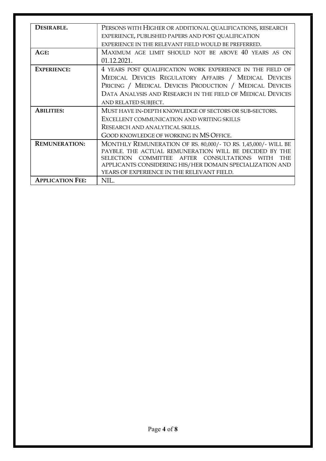| DESIRABLE.              | PERSONS WITH HIGHER OR ADDITIONAL QUALIFICATIONS, RESEARCH<br>EXPERIENCE, PUBLISHED PAPERS AND POST QUALIFICATION                                                                                                                                                                                                          |  |  |  |  |
|-------------------------|----------------------------------------------------------------------------------------------------------------------------------------------------------------------------------------------------------------------------------------------------------------------------------------------------------------------------|--|--|--|--|
|                         | EXPERIENCE IN THE RELEVANT FIELD WOULD BE PREFERRED.                                                                                                                                                                                                                                                                       |  |  |  |  |
| AGE:                    | MAXIMUM AGE LIMIT SHOULD NOT BE ABOVE 40 YEARS AS ON<br>01.12.2021.                                                                                                                                                                                                                                                        |  |  |  |  |
| <b>EXPERIENCE:</b>      | 4 YEARS POST QUALIFICATION WORK EXPERIENCE IN THE FIELD OF<br>MEDICAL DEVICES REGULATORY AFFAIRS / MEDICAL DEVICES<br>PRICING / MEDICAL DEVICES PRODUCTION / MEDICAL DEVICES<br>DATA ANALYSIS AND RESEARCH IN THE FIELD OF MEDICAL DEVICES<br>AND RELATED SUBJECT.                                                         |  |  |  |  |
| <b>ABILITIES:</b>       | MUST HAVE IN-DEPTH KNOWLEDGE OF SECTORS OR SUB-SECTORS.<br>EXCELLENT COMMUNICATION AND WRITING SKILLS<br>RESEARCH AND ANALYTICAL SKILLS.<br><b>GOOD KNOWLEDGE OF WORKING IN MS OFFICE.</b>                                                                                                                                 |  |  |  |  |
| <b>REMUNERATION:</b>    | MONTHLY REMUNERATION OF RS. 80,000/- TO RS. 1,45,000/- WILL BE<br>PAYBLE. THE ACTUAL REMUNERATION WILL BE DECIDED BY THE<br><b>SELECTION</b><br><b>COMMITTEE</b><br>CONSULTATIONS<br>AFTER<br>THE<br><b>WITH</b><br>APPLICANTS CONSIDERING HIS/HER DOMAIN SPECIALIZATION AND<br>YEARS OF EXPERIENCE IN THE RELEVANT FIELD. |  |  |  |  |
| <b>APPLICATION FEE:</b> | NIL.                                                                                                                                                                                                                                                                                                                       |  |  |  |  |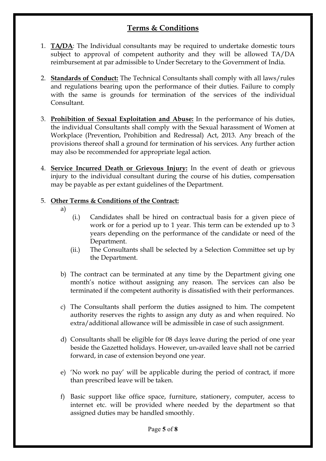# Terms & Conditions

- 1. TA/DA: The Individual consultants may be required to undertake domestic tours subject to approval of competent authority and they will be allowed TA/DA reimbursement at par admissible to Under Secretary to the Government of India.
- 2. Standards of Conduct: The Technical Consultants shall comply with all laws/rules and regulations bearing upon the performance of their duties. Failure to comply with the same is grounds for termination of the services of the individual Consultant.
- 3. Prohibition of Sexual Exploitation and Abuse: In the performance of his duties, the individual Consultants shall comply with the Sexual harassment of Women at Workplace (Prevention, Prohibition and Redressal) Act, 2013. Any breach of the provisions thereof shall a ground for termination of his services. Any further action may also be recommended for appropriate legal action.
- 4. Service Incurred Death or Grievous Injury: In the event of death or grievous injury to the individual consultant during the course of his duties, compensation may be payable as per extant guidelines of the Department.

# 5. Other Terms & Conditions of the Contract:

- a)
	- (i.) Candidates shall be hired on contractual basis for a given piece of work or for a period up to 1 year. This term can be extended up to 3 years depending on the performance of the candidate or need of the Department.
	- (ii.) The Consultants shall be selected by a Selection Committee set up by the Department.
- b) The contract can be terminated at any time by the Department giving one month's notice without assigning any reason. The services can also be terminated if the competent authority is dissatisfied with their performances.
- c) The Consultants shall perform the duties assigned to him. The competent authority reserves the rights to assign any duty as and when required. No extra/additional allowance will be admissible in case of such assignment.
- d) Consultants shall be eligible for 08 days leave during the period of one year beside the Gazetted holidays. However, un-availed leave shall not be carried forward, in case of extension beyond one year.
- e) 'No work no pay' will be applicable during the period of contract, if more than prescribed leave will be taken.
- f) Basic support like office space, furniture, stationery, computer, access to internet etc. will be provided where needed by the department so that assigned duties may be handled smoothly.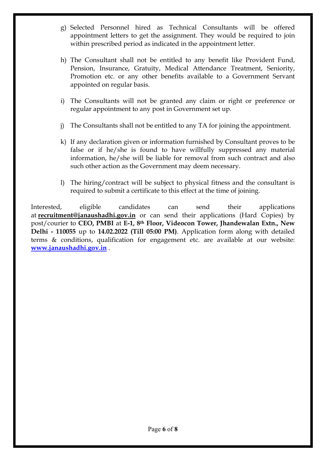- g) Selected Personnel hired as Technical Consultants will be offered appointment letters to get the assignment. They would be required to join within prescribed period as indicated in the appointment letter.
- h) The Consultant shall not be entitled to any benefit like Provident Fund, Pension, Insurance, Gratuity, Medical Attendance Treatment, Seniority, Promotion etc. or any other benefits available to a Government Servant appointed on regular basis.
- i) The Consultants will not be granted any claim or right or preference or regular appointment to any post in Government set up.
- j) The Consultants shall not be entitled to any TA for joining the appointment.
- k) If any declaration given or information furnished by Consultant proves to be false or if he/she is found to have willfully suppressed any material information, he/she will be liable for removal from such contract and also such other action as the Government may deem necessary.
- l) The hiring/contract will be subject to physical fitness and the consultant is required to submit a certificate to this effect at the time of joining.

Interested, eligible candidates can send their applications at recruitment@janaushadhi.gov.in or can send their applications (Hard Copies) by post/courier to CEO, PMBI at E-1, 8th Floor, Videocon Tower, Jhandewalan Extn., New Delhi - 110055 up to 14.02.2022 (Till 05:00 PM). Application form along with detailed terms & conditions, qualification for engagement etc. are available at our website: www.janaushadhi.gov.in .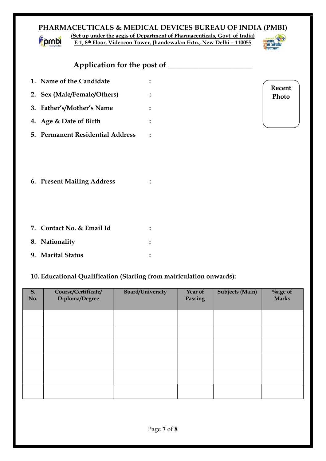# PHARMACEUTICALS & MEDICAL DEVICES BUREAU OF INDIA (PMBI)



(Set up under the aegis of Department of Pharmaceuticals, Govt. of India) E-1, 8th Floor, Videocon Tower, Jhandewalan Extn., New Delhi – 110055



| Application for the post of ___  |                |                 |
|----------------------------------|----------------|-----------------|
| 1. Name of the Candidate         | $\ddot{\cdot}$ |                 |
| 2. Sex (Male/Female/Others)      |                | Recent<br>Photo |
| 3. Father's/Mother's Name        |                |                 |
| 4. Age & Date of Birth           |                |                 |
| 5. Permanent Residential Address |                |                 |
| 6. Present Mailing Address       |                |                 |
| 7. Contact No. & Email Id        |                |                 |
| 8. Nationality                   |                |                 |
| 9. Marital Status                |                |                 |

### 10. Educational Qualification (Starting from matriculation onwards):

| S.<br>No. | Course/Certificate/<br>Diploma/Degree | Board/University | Year of<br>Passing | <b>Subjects (Main)</b> | $\%$ age of<br><b>Marks</b> |
|-----------|---------------------------------------|------------------|--------------------|------------------------|-----------------------------|
|           |                                       |                  |                    |                        |                             |
|           |                                       |                  |                    |                        |                             |
|           |                                       |                  |                    |                        |                             |
|           |                                       |                  |                    |                        |                             |
|           |                                       |                  |                    |                        |                             |
|           |                                       |                  |                    |                        |                             |